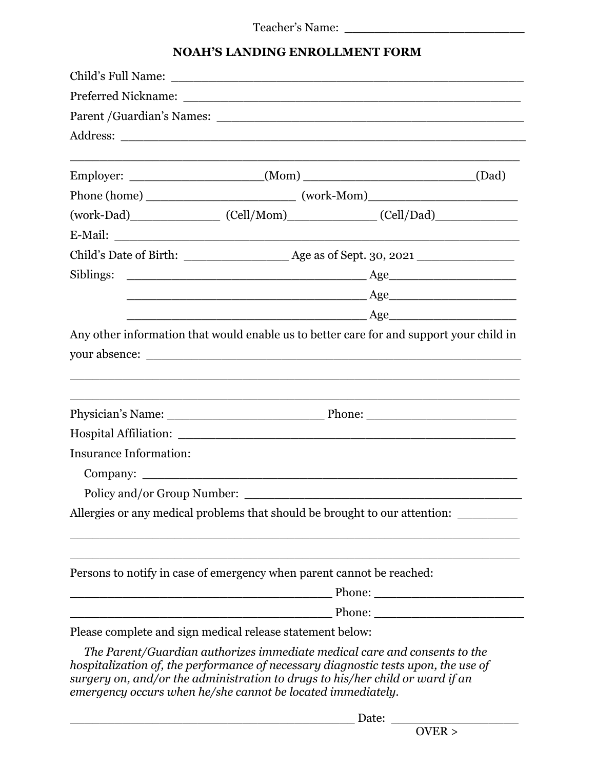## **NOAH'S LANDING ENROLLMENT FORM**

|                               | <u>Age</u> Age Age 2014                                                                                                                                                                                                                          |  |  |
|-------------------------------|--------------------------------------------------------------------------------------------------------------------------------------------------------------------------------------------------------------------------------------------------|--|--|
|                               | Age                                                                                                                                                                                                                                              |  |  |
|                               | your absence:                                                                                                                                                                                                                                    |  |  |
|                               |                                                                                                                                                                                                                                                  |  |  |
|                               |                                                                                                                                                                                                                                                  |  |  |
| <b>Insurance Information:</b> |                                                                                                                                                                                                                                                  |  |  |
| Policy and/or Group Number:   |                                                                                                                                                                                                                                                  |  |  |
|                               | Allergies or any medical problems that should be brought to our attention:                                                                                                                                                                       |  |  |
|                               | Persons to notify in case of emergency when parent cannot be reached:                                                                                                                                                                            |  |  |
|                               |                                                                                                                                                                                                                                                  |  |  |
|                               | Phone:                                                                                                                                                                                                                                           |  |  |
|                               | Please complete and sign medical release statement below:                                                                                                                                                                                        |  |  |
|                               | The Parent/Guardian authorizes immediate medical care and consents to the<br>hospitalization of, the performance of necessary diagnostic tests upon, the use of<br>surgery on, and/or the administration to drugs to his/her child or ward if an |  |  |

*emergency occurs when he/she cannot be located immediately.*

 $\_$  Date:  $\_\_$